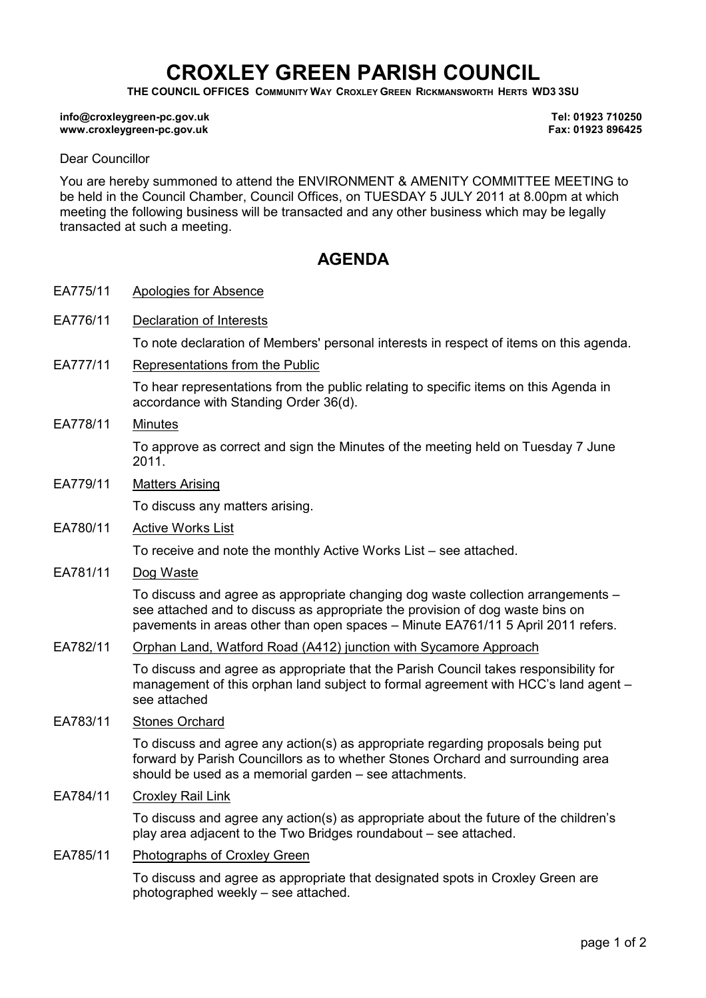# CROXLEY GREEN PARISH COUNCIL

THE COUNCIL OFFICES COMMUNITY WAY CROXLEY GREEN RICKMANSWORTH HERTS WD3 3SU

#### info@croxleygreen-pc.gov.uk www.croxleygreen-pc.gov.uk

Tel: 01923 710250 Fax: 01923 896425

#### Dear Councillor

You are hereby summoned to attend the ENVIRONMENT & AMENITY COMMITTEE MEETING to be held in the Council Chamber, Council Offices, on TUESDAY 5 JULY 2011 at 8.00pm at which meeting the following business will be transacted and any other business which may be legally transacted at such a meeting.

## **AGENDA**

EA775/11 Apologies for Absence

EA776/11 Declaration of Interests To note declaration of Members' personal interests in respect of items on this agenda.

EA777/11 Representations from the Public

To hear representations from the public relating to specific items on this Agenda in accordance with Standing Order 36(d).

EA778/11 Minutes

To approve as correct and sign the Minutes of the meeting held on Tuesday 7 June 2011.

EA779/11 Matters Arising

To discuss any matters arising.

EA780/11 Active Works List

To receive and note the monthly Active Works List – see attached.

EA781/11 Dog Waste

To discuss and agree as appropriate changing dog waste collection arrangements – see attached and to discuss as appropriate the provision of dog waste bins on pavements in areas other than open spaces – Minute EA761/11 5 April 2011 refers.

EA782/11 Orphan Land, Watford Road (A412) junction with Sycamore Approach

To discuss and agree as appropriate that the Parish Council takes responsibility for management of this orphan land subject to formal agreement with HCC's land agent – see attached

EA783/11 Stones Orchard

To discuss and agree any action(s) as appropriate regarding proposals being put forward by Parish Councillors as to whether Stones Orchard and surrounding area should be used as a memorial garden – see attachments.

EA784/11 Croxley Rail Link

To discuss and agree any action(s) as appropriate about the future of the children's play area adjacent to the Two Bridges roundabout – see attached.

EA785/11 Photographs of Croxley Green

To discuss and agree as appropriate that designated spots in Croxley Green are photographed weekly – see attached.